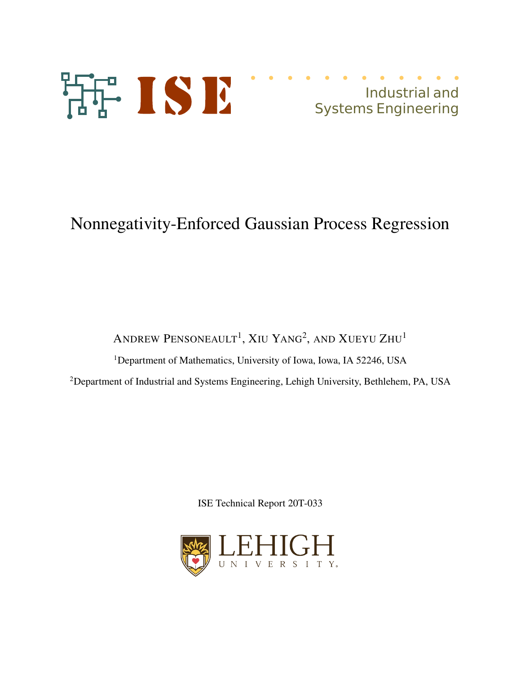



# Nonnegativity-Enforced Gaussian Process Regression

ANDREW PENSONEAULT<sup>1</sup>, XIU YANG<sup>2</sup>, AND XUEYU ZHU<sup>1</sup>

<sup>1</sup>Department of Mathematics, University of Iowa, Iowa, IA 52246, USA

<sup>2</sup>Department of Industrial and Systems Engineering, Lehigh University, Bethlehem, PA, USA

ISE Technical Report 20T-033

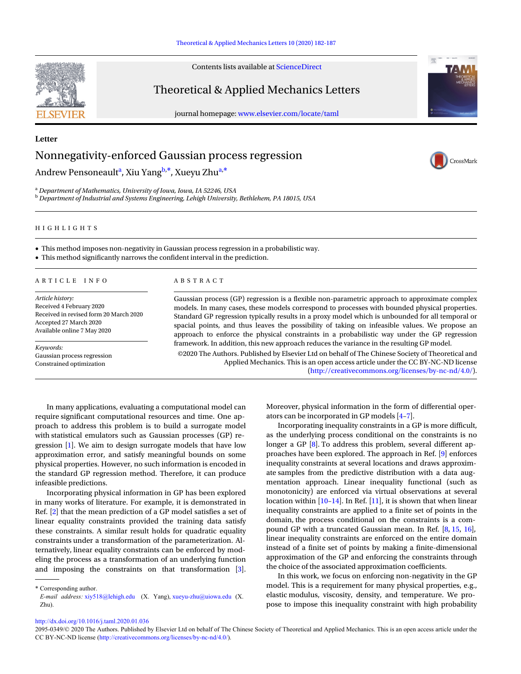### Theoretical & Applied Mechanics Letters 10 (2020) 182-187

Contents lists available at ScienceDirect

### Theoretical & Applied Mechanics Letters

journal homepage: www.elsevier.com/locate/taml



CrossMark

## Nonnegativity-enforced Gaussian process regression

Andrew Pensoneault<sup>a</sup>, Xiu Yang<sup>b,\*</sup>, Xueyu Zhu<sup>a,\*</sup>

<sup>a</sup> *Department of Mathematics, University of Iowa, Iowa, IA 52246, USA* <sup>b</sup> *Department of Industrial and Systems Engineering, Lehigh University, Bethlehem, PA 18015, USA*

### H I G H L I G H T S

• This method imposes non-negativity in Gaussian process regression in a probabilistic way.

• This method significantly narrows the confident interval in the prediction.

### A R T I C L E I N F O A B S T R A C T

*Article history:* Received 4 February 2020 Received in revised form 20 March 2020 Accepted 27 March 2020 Available online 7 May 2020

*Keywords:* Gaussian process regression Constrained optimization

Gaussian process (GP) regression is a flexible non-parametric approach to approximate complex models. In many cases, these models correspond to processes with bounded physical properties. Standard GP regression typically results in a proxy model which is unbounded for all temporal or spacial points, and thus leaves the possibility of taking on infeasible values. We propose an approach to enforce the physical constraints in a probabilistic way under the GP regression framework. In addition, this new approach reduces the variance in the resulting GP model.

©2020 The Authors. Published by Elsevier Ltd on behalf of The Chinese Society of Theoretical and Applied Mechanics. This is an open access article under the CC BY-NC-ND license (http://creativecommons.org/licenses/by-nc-nd/4.0/).

In many applications, evaluating a computational model can require significant computational resources and time. One approach to address this problem is to build a surrogate model with statistical emulators such as Gaussian processes (GP) regression [1]. We aim to design surrogate models that have low approximation error, and satisfy meaningful bounds on some physical properties. However, no such information is encoded in the standard GP regression method. Therefore, it can produce infeasible predictions.

Incorporating physical information in GP has been explored in many works of literature. For example, it is demonstrated in Ref. [2] that the mean prediction of a GP model satisfies a set of linear equality constraints provided the training data satisfy these constraints. A similar result holds for quadratic equality constraints under a transformation of the parameterization. Alternatively, linear equality constraints can be enforced by modeling the process as a transformation of an underlying function and imposing the constraints on that transformation [3].

\* Corresponding author.

Moreover, physical information in the form of differential operators can be incorporated in GP models [4–7].

Incorporating inequality constraints in a GP is more difficult, as the underlying process conditional on the constraints is no longer a GP [8]. To address this problem, several different approaches have been explored. The approach in Ref. [9] enforces inequality constraints at several locations and draws approximate samples from the predictive distribution with a data augmentation approach. Linear inequality functional (such as monotonicity) are enforced via virtual observations at several location within [10–14]. In Ref. [11], it is shown that when linear inequality constraints are applied to a finite set of points in the domain, the process conditional on the constraints is a compound GP with a truncated Gaussian mean. In Ref. [8, 15, 16], linear inequality constraints are enforced on the entire domain instead of a finite set of points by making a finite-dimensional approximation of the GP and enforcing the constraints through the choice of the associated approximation coefficients.

In this work, we focus on enforcing non-negativity in the GP model. This is a requirement for many physical properties, e.g., elastic modulus, viscosity, density, and temperature. We propose to impose this inequality constraint with high probability

http://dx.doi.org/10.1016/j.taml.2020.01.036



**Letter**

*E-mail address:* xiy518@lehigh.edu (X. Yang), xueyu-zhu@uiowa.edu (X. Zhu).

<sup>2095-0349/© 2020</sup> The Authors. Published by Elsevier Ltd on behalf of The Chinese Society of Theoretical and Applied Mechanics. This is an open access article under the CC BY-NC-ND license (http://creativecommons.org/licenses/by-nc-nd/4.0/).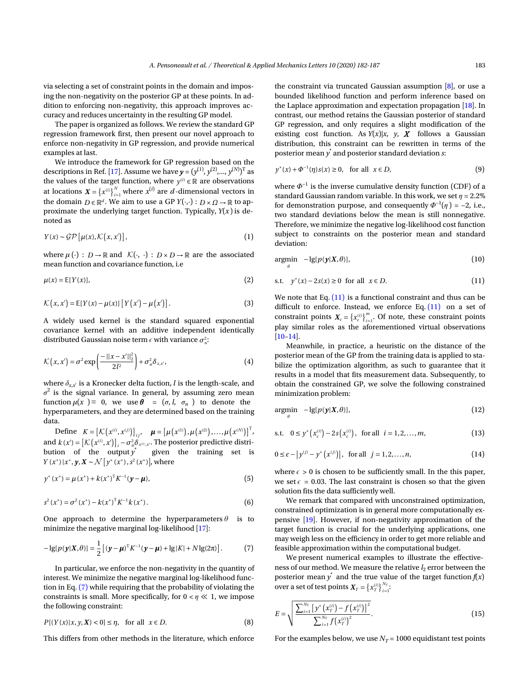via selecting a set of constraint points in the domain and imposing the non-negativity on the posterior GP at these points. In addition to enforcing non-negativity, this approach improves accuracy and reduces uncertainty in the resulting GP model.

The paper is organized as follows. We review the standard GP regression framework first, then present our novel approach to enforce non-negativity in GP regression, and provide numerical examples at last.

the values of the target function, where  $y^{(i)} \in \mathbb{R}$  are observations at locations  $X = \{x^{(i)}\}_{i=1}^N$  where  $x^{(i)}$  are *d*-dimensional vectors in the domain  $D \in \mathbb{R}^d$ . We aim to use a GP  $Y(\cdot, \cdot) : D \times \Omega \to \mathbb{R}$  to ap-We introduce the framework for GP regression based on the descriptions in Ref. [17]. Assume we have  $\boldsymbol{y} = (y^{(1)}, y^{(2)},..., y^{(N)})^{\mathrm{T}}$  as proximate the underlying target function. Typically,  $Y(x)$  is denoted as

$$
Y(x) \sim \mathcal{GP}\left[\mu(x), \mathcal{K}\left(x, x'\right)\right],\tag{1}
$$

where  $\mu(\cdot) : D \to \mathbb{R}$  and  $\mathcal{K}(\cdot, \cdot) : D \times D \to \mathbb{R}$  are the associated mean function and covariance function, i.e

$$
\mu(x) = \mathbb{E}[Y(x)],\tag{2}
$$

$$
\mathcal{K}(x,x') = \mathbb{E}[Y(x) - \mu(x)] [Y(x') - \mu(x')]. \tag{3}
$$

distributed Gaussian noise term  $\epsilon$  with variance  $\sigma_n^2$ : A widely used kernel is the standard squared exponential covariance kernel with an additive independent identically

$$
\mathcal{K}(x,x') = \sigma^2 \exp\left(\frac{-\left|\left|x-x'\right|\right|_2^2}{2l^2}\right) + \sigma_n^2 \delta_{x,x'},\tag{4}
$$

where  $\delta_{x,x'}$  is a Kronecker delta fuction,  $l$  is the length-scale, and  $\sigma^2$  is the signal variance. In general, by assuming zero mean function  $\mu(x) \equiv 0$ , we use  $\theta = (\sigma, l, \sigma_n)$  to denote the hyperparameters, and they are determined based on the training data.

Define  $K = \left[ \mathcal{K} \left( x^{(i)}, x^{(j)} \right) \right]_{ij}, \quad \mu = \left[ \mu \left( x^{(1)} \right), \mu \left( x^{(2)} \right), \dots, \mu \left( x^{(N)} \right) \right]^{T}$ and  $k(x') = [\mathcal{K}(x^{(i)}, x')]_i - \sigma^2_{n \sum x^{(i)}, x'}$ . The posterior predictive distri-*Y* (*x*<sup>\*</sup>) |*x*<sup>\*</sup>, *<i>y***,** *X* ∼  $\mathcal{N}$  [*y*<sup>\*</sup> (*x*<sup>\*</sup>), *s*<sup>2</sup> (*x*<sup>\*</sup>)], where bution of the output  $y^*$ given the training set is

$$
y^*(x^*) = \mu(x^*) + k(x^*)^T K^{-1} (\mathbf{y} - \boldsymbol{\mu}),
$$
\n(5)

$$
s^{2}(x^{*}) = \sigma^{2}(x^{*}) - k(x^{*})^{\mathrm{T}} K^{-1} k(x^{*}).
$$
\n(6)

One approach to determine the hyperparameters  $\theta$  is to minimize the negative marginal log-likelihood [17]:

$$
-\lg[p(\mathbf{y}|X,\theta)] = \frac{1}{2} \left[ (\mathbf{y} - \boldsymbol{\mu})^{\mathrm{T}} K^{-1} (\mathbf{y} - \boldsymbol{\mu}) + \lg|K| + N \lg(2\pi) \right]. \tag{7}
$$

In particular, we enforce the non-negativity in the quantity of interest. We minimize the negative marginal log-likelihood function in Eq. (7) while requiring that the probability of violating the constraints is small. More specifically, for 0 < *η* ≪ 1, we impose the following constraint:

$$
P[(Y(x)|x, y, X) < 0] \le \eta, \quad \text{for all} \quad x \in D. \tag{8}
$$

This differs from other methods in the literature, which enforce

the constraint via truncated Gaussian assumption [8], or use a bounded likelihood function and perform inference based on the Laplace approximation and expectation propagation [18]. In contrast, our method retains the Gaussian posterior of standard GP regression, and only requires a slight modification of the existing cost function. As  $Y(x)|x$ , *y*, *X* follows a Gaussian distribution, this constraint can be rewritten in terms of the posterior mean *y* \* and posterior standard deviation *s*:

$$
y^*(x) + \Phi^{-1}(\eta)s(x) \ge 0
$$
, for all  $x \in D$ , (9)

where  $\varPhi^{-1}$  is the inverse cumulative density function (CDF) of a standard Gaussian random variable. In this work, we set  $\eta = 2.2\%$ for demonstration purpose, and consequently  $\Phi^{-1}(\eta)$  = -2, i.e., two standard deviations below the mean is still nonnegative. Therefore, we minimize the negative log-likelihood cost function subject to constraints on the posterior mean and standard deviation:

$$
\underset{\theta}{\text{argmin}} \quad -\lg[p(\mathbf{y}|X,\theta)],\tag{10}
$$

s.t. 
$$
y^*(x) - 2s(x) \ge 0
$$
 for all  $x \in D$ . (11)

constraint points  $X_c = \{x_c^{(i)}\}_{i=1}^m$ . Of note, these constraint points We note that Eq.  $(11)$  is a functional constraint and thus can be difficult to enforce. Instead, we enforce Eq.  $(11)$  on a set of play similar roles as the aforementioned virtual observations [10–14].

Meanwhile, in practice, a heuristic on the distance of the posterior mean of the GP from the training data is applied to stabilize the optimization algorithm, as such to guarantee that it results in a model that fits measurement data. Subsequently, to obtain the constrained GP, we solve the following constrained minimization problem:

$$
\underset{\theta}{\text{argmin}} \quad -\lg[p(\mathbf{y}|X,\theta)],\tag{12}
$$

s.t. 
$$
0 \le y^* (x_c^{(i)}) - 2s (x_c^{(i)})
$$
, for all  $i = 1, 2, ..., m$ , (13)

$$
0 \le \epsilon - |y^{(j)} - y^* (x^{(j)})|, \text{ for all } j = 1, 2, ..., n,
$$
 (14)

where  $\epsilon > 0$  is chosen to be sufficiently small. In the this paper, we set  $\epsilon$  = 0.03. The last constraint is chosen so that the given solution fits the data sufficiently well.

We remark that compared with unconstrained optimization, constrained optimization is in general more computationally expensive [19]. However, if non-negativity approximation of the target function is crucial for the underlying applications, one may weigh less on the efficiency in order to get more reliable and feasible approximation within the computational budget.

over a set of test points  $\boldsymbol{X}_T = \left\{ x_T^{(i)} \right\}_{i=1}^{N_T}$ . We present numerical examples to illustrate the effectiveness of our method. We measure the relative  $l_2$  error between the posterior mean  $y^*$  and the true value of the target function  $f\!(x)$ 

$$
E = \sqrt{\frac{\sum_{i=1}^{N_T} \left[ y^* \left( x_T^{(i)} \right) - f \left( x_T^{(i)} \right) \right]^2}{\sum_{i=1}^{N_T} f \left( x_T^{(i)} \right)^2}}.
$$
(15)

For the examples below, we use  $N_T$  = 1000 equidistant test points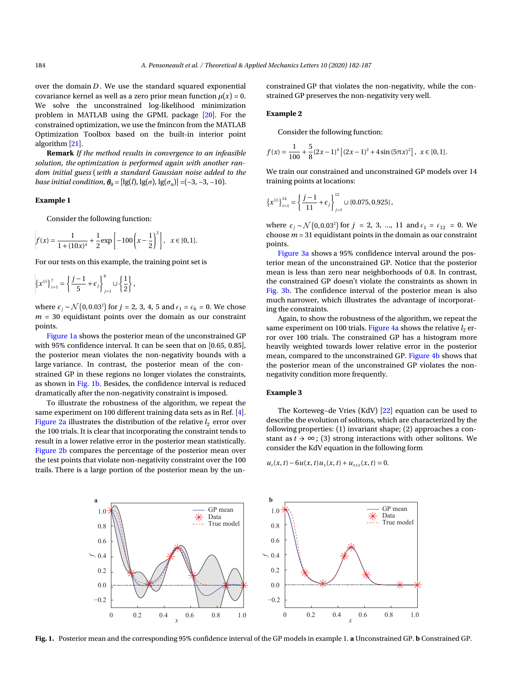over the domain *D* . We use the standard squared exponential covariance kernel as well as a zero prior mean function  $\mu(x) = 0$ . We solve the unconstrained log-likelihood minimization problem in MATLAB using the GPML package [20]. For the constrained optimization, we use the fmincon from the MATLAB Optimization Toolbox based on the built-in interior point algorithm [21].

**Remark** *If the method results in convergence to an infeasible solution*, *the optimization is performed again with another random initial guess* (*with a standard Gaussian noise added to the base initial condition,*  $\theta_0 = [\lg(l), \lg(\sigma), \lg(\sigma_n)] = (-3, -3, -10)$ .

### **Example 1**

Consider the following function:

$$
f(x) = \frac{1}{1 + (10x)^4} + \frac{1}{2} \exp\left[-100\left(x - \frac{1}{2}\right)^2\right], \quad x \in [0, 1].
$$

For our tests on this example, the training point set is

$$
\left\{x^{(i)}\right\}_{i=1}^7 = \left\{\frac{j-1}{5} + \epsilon_j\right\}_{j=1}^6 \cup \left\{\frac{1}{2}\right\},\
$$

where  $\epsilon_j$  ∼  $\mathcal{N}(0, 0.03^2)$  for  $j = 2, 3, 4, 5$  and  $\epsilon_1 = \epsilon_6 = 0$ . We chose  $m = 30$  equidistant points over the domain as our constraint points.

Figure 1a shows the posterior mean of the unconstrained GP with 95% confidence interval. It can be seen that on [0.65, 0.85], the posterior mean violates the non-negativity bounds with a large variance. In contrast, the posterior mean of the constrained GP in these regions no longer violates the constraints, as shown in Fig. 1b. Besides, the confidence interval is reduced dramatically after the non-negativity constraint is imposed.

To illustrate the robustness of the algorithm, we repeat the same experiment on 100 different training data sets as in Ref. [4]. Figure 2a illustrates the distribution of the relative  $l_2$  error over the 100 trials. It is clear that incorporating the constraint tends to result in a lower relative error in the posterior mean statistically. Figure 2b compares the percentage of the posterior mean over the test points that violate non-negativity constraint over the 100 trails. There is a large portion of the posterior mean by the unconstrained GP that violates the non-negativity, while the constrained GP preserves the non-negativity very well.

### **Example 2**

Consider the following function:

$$
f(x) = \frac{1}{100} + \frac{5}{8} (2x - 1)^4 \left[ (2x - 1)^2 + 4\sin(5\pi x)^2 \right], \ x \in [0, 1].
$$

We train our constrained and unconstrained GP models over 14 training points at locations:

$$
\left\{x^{(i)}\right\}_{i=1}^{14} = \left\{\frac{j-1}{11} + \epsilon_j\right\}_{j=1}^{12} \cup \{0.075, 0.925\},\,
$$

where  $\epsilon_j \sim \mathcal{N}(0, 0.03^2)$  for  $j = 2, 3, ..., 11$  and  $\epsilon_1 = \epsilon_{12} = 0$ . We choose  $m = 31$  equidistant points in the domain as our constraint points.

Figure 3a shows a 95% confidence interval around the posterior mean of the unconstrained GP. Notice that the posterior mean is less than zero near neighborhoods of 0.8. In contrast, the constrained GP doesn't violate the constraints as shown in Fig. 3b. The confidence interval of the posterior mean is also much narrower, which illustrates the advantage of incorporating the constraints.

Again, to show the robustness of the algorithm, we repeat the same experiment on 100 trials. Figure 4a shows the relative  $l_2$  error over 100 trials. The constrained GP has a histogram more heavily weighted towards lower relative error in the posterior mean, compared to the unconstrained GP. Figure 4b shows that the posterior mean of the unconstrained GP violates the nonnegativity condition more frequently.

### **Example 3**

The Korteweg−de Vries (KdV) [22] equation can be used to describe the evolution of solitons, which are characterized by the following properties: (1) invariant shape; (2) approaches a constant as  $t \to \infty$ ; (3) strong interactions with other solitons. We consider the KdV equation in the following form

 $u_t(x, t) - 6u(x, t)u_x(x, t) + u_{xxx}(x, t) = 0.$ 



**Fig. 1.** Posterior mean and the corresponding 95% confidence interval of the GP models in example 1. **a** Unconstrained GP. **b** Constrained GP.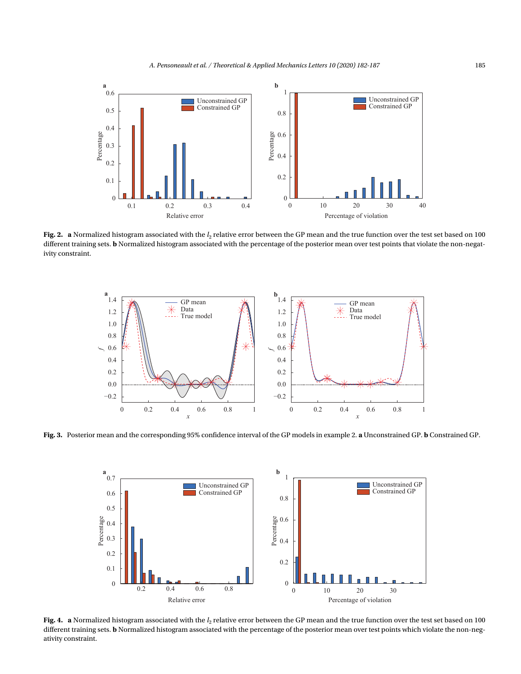

**Fig. 2.**  $\,$  a Normalized histogram associated with the  $l_2$  relative error between the GP mean and the true function over the test set based on 100  $\,$ different training sets. **b** Normalized histogram associated with the percentage of the posterior mean over test points that violate the non-negativity constraint.



**Fig. 3.** Posterior mean and the corresponding 95% confidence interval of the GP models in example 2. **a** Unconstrained GP. **b** Constrained GP.



**Fig. 4.**  $\,$  a Normalized histogram associated with the  $l_2$  relative error between the GP mean and the true function over the test set based on 100  $\,$ different training sets. **b** Normalized histogram associated with the percentage of the posterior mean over test points which violate the non-negativity constraint.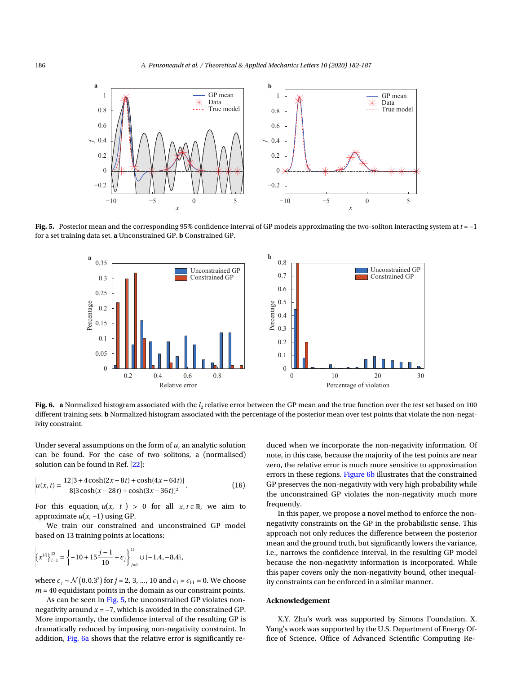

**Fig. 5.** Posterior mean and the corresponding 95% confidence interval of GP models approximating the two-soliton interacting system at *t* = −1 for a set training data set. **a** Unconstrained GP. **b** Constrained GP.



**Fig. 6.**  $\,$  a Normalized histogram associated with the  $l_2$  relative error between the GP mean and the true function over the test set based on 100  $\,$ different training sets. **b** Normalized histogram associated with the percentage of the posterior mean over test points that violate the non-negativity constraint.

Under several assumptions on the form of *u*, an analytic solution can be found. For the case of two solitons, a (normalised) solution can be found in Ref. [22]:

$$
u(x,t) = \frac{12[3 + 4\cosh(2x - 8t) + \cosh(4x - 64t)]}{8[3\cosh(x - 28t) + \cosh(3x - 36t)]^2}.
$$
 (16)

For this equation,  $u(x, t) > 0$  for all  $x, t \in \mathbb{R}$ , we aim to approximate  $u(x, −1)$  using GP.

We train our constrained and unconstrained GP model based on 13 training points at locations:

$$
\left\{x^{(i)}\right\}_{i=1}^{13} = \left\{-10 + 15\frac{j-1}{10} + \epsilon_j\right\}_{j=1}^{11} \cup \{-1.4, -8.4\},\
$$

where  $\epsilon_j \sim \mathcal{N}(0, 0.3^2)$  for  $j = 2, 3, ..., 10$  and  $\epsilon_1 = \epsilon_{11} = 0$ . We choose  $m = 40$  equidistant points in the domain as our constraint points.

As can be seen in Fig. 5, the unconstrained GP violates nonnegativity around *x* = −7, which is avoided in the constrained GP. More importantly, the confidence interval of the resulting GP is dramatically reduced by imposing non-negativity constraint. In addition, Fig. 6a shows that the relative error is significantly reduced when we incorporate the non-negativity information. Of note, in this case, because the majority of the test points are near zero, the relative error is much more sensitive to approximation errors in these regions. Figure 6b illustrates that the constrained GP preserves the non-negativity with very high probability while the unconstrained GP violates the non-negativity much more frequently.

In this paper, we propose a novel method to enforce the nonnegativity constraints on the GP in the probabilistic sense. This approach not only reduces the difference between the posterior mean and the ground truth, but significantly lowers the variance, i.e., narrows the confidence interval, in the resulting GP model because the non-negativity information is incorporated. While this paper covers only the non-negativity bound, other inequality constraints can be enforced in a similar manner.

### **Acknowledgement**

X.Y. Zhu's work was supported by Simons Foundation. X. Yang's work was supported by the U.S. Department of Energy Office of Science, Office of Advanced Scientific Computing Re